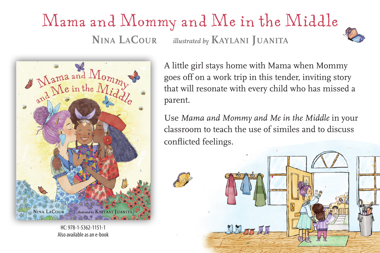## Mama and Mommy and Me in the Middle **Nina LaCour** *illustrated by* **Kaylani Juanita**





HC: 978-1-5362-1151-1 Also available as an e-book

A little girl stays home with Mama when Mommy goes off on a work trip in this tender, inviting story that will resonate with every child who has missed a parent.

Use *Mama and Mommy and Me in the Middle* in your classroom to teach the use of similes and to discuss conflicted feelings.